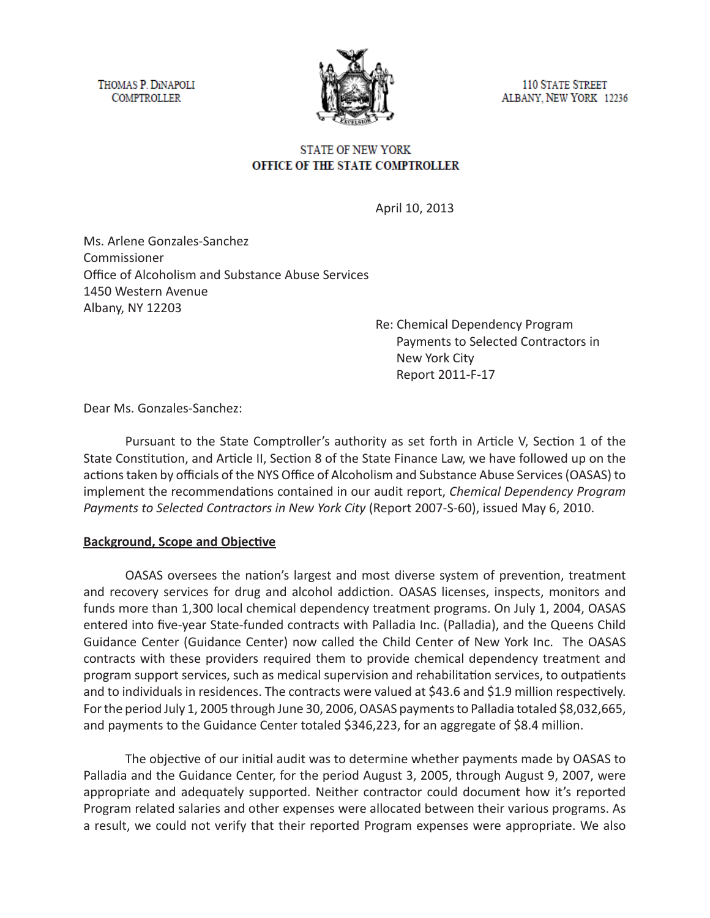THOMAS P. DINAPOLI **COMPTROLLER** 



**110 STATE STREET** ALBANY, NEW YORK 12236

## **STATE OF NEW YORK** OFFICE OF THE STATE COMPTROLLER

April 10, 2013

Ms. Arlene Gonzales-Sanchez Commissioner Office of Alcoholism and Substance Abuse Services 1450 Western Avenue Albany, NY 12203

> Re: Chemical Dependency Program Payments to Selected Contractors in New York City Report 2011-F-17

Dear Ms. Gonzales-Sanchez:

Pursuant to the State Comptroller's authority as set forth in Article V, Section 1 of the State Constitution, and Article II, Section 8 of the State Finance Law, we have followed up on the actions taken by officials of the NYS Office of Alcoholism and Substance Abuse Services (OASAS) to implement the recommendations contained in our audit report, *Chemical Dependency Program Payments to Selected Contractors in New York City* (Report 2007-S-60), issued May 6, 2010.

### **Background, Scope and Objective**

OASAS oversees the nation's largest and most diverse system of prevention, treatment and recovery services for drug and alcohol addiction. OASAS licenses, inspects, monitors and funds more than 1,300 local chemical dependency treatment programs. On July 1, 2004, OASAS entered into five-year State-funded contracts with Palladia Inc. (Palladia), and the Queens Child Guidance Center (Guidance Center) now called the Child Center of New York Inc. The OASAS contracts with these providers required them to provide chemical dependency treatment and program support services, such as medical supervision and rehabilitation services, to outpatients and to individuals in residences. The contracts were valued at \$43.6 and \$1.9 million respectively. For the period July 1, 2005 through June 30, 2006, OASAS payments to Palladia totaled \$8,032,665, and payments to the Guidance Center totaled \$346,223, for an aggregate of \$8.4 million.

The objective of our initial audit was to determine whether payments made by OASAS to Palladia and the Guidance Center, for the period August 3, 2005, through August 9, 2007, were appropriate and adequately supported. Neither contractor could document how it's reported Program related salaries and other expenses were allocated between their various programs. As a result, we could not verify that their reported Program expenses were appropriate. We also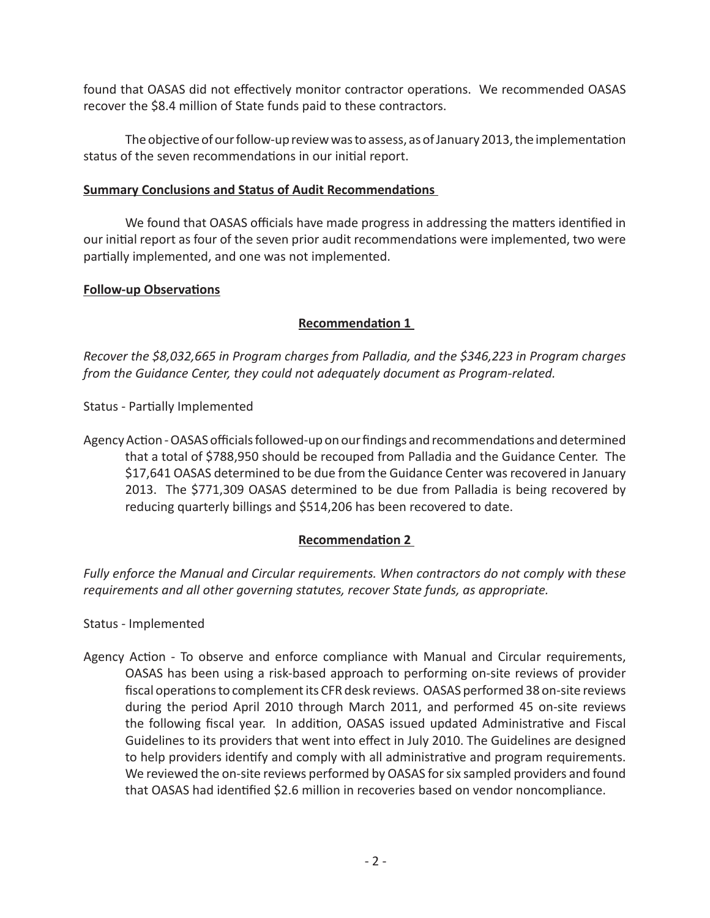found that OASAS did not effectively monitor contractor operations. We recommended OASAS recover the \$8.4 million of State funds paid to these contractors.

The objective of our follow-up review was to assess, as of January 2013, the implementation status of the seven recommendations in our initial report.

#### **Summary Conclusions and Status of Audit Recommendations**

We found that OASAS officials have made progress in addressing the matters identified in our initial report as four of the seven prior audit recommendations were implemented, two were partially implemented, and one was not implemented.

### **Follow-up Observations**

## **Recommendation 1**

*Recover the \$8,032,665 in Program charges from Palladia, and the \$346,223 in Program charges from the Guidance Center, they could not adequately document as Program-related.* 

Status - Partially Implemented

Agency Action - OASAS officials followed-up on our findings and recommendations and determined that a total of \$788,950 should be recouped from Palladia and the Guidance Center. The \$17,641 OASAS determined to be due from the Guidance Center was recovered in January 2013. The \$771,309 OASAS determined to be due from Palladia is being recovered by reducing quarterly billings and \$514,206 has been recovered to date.

### **Recommendation 2**

*Fully enforce the Manual and Circular requirements. When contractors do not comply with these requirements and all other governing statutes, recover State funds, as appropriate.*

Status - Implemented

Agency Action - To observe and enforce compliance with Manual and Circular requirements, OASAS has been using a risk-based approach to performing on-site reviews of provider fiscal operations to complement its CFR desk reviews. OASAS performed 38 on-site reviews during the period April 2010 through March 2011, and performed 45 on-site reviews the following fiscal year. In addition, OASAS issued updated Administrative and Fiscal Guidelines to its providers that went into effect in July 2010. The Guidelines are designed to help providers identify and comply with all administrative and program requirements. We reviewed the on-site reviews performed by OASAS for six sampled providers and found that OASAS had identified \$2.6 million in recoveries based on vendor noncompliance.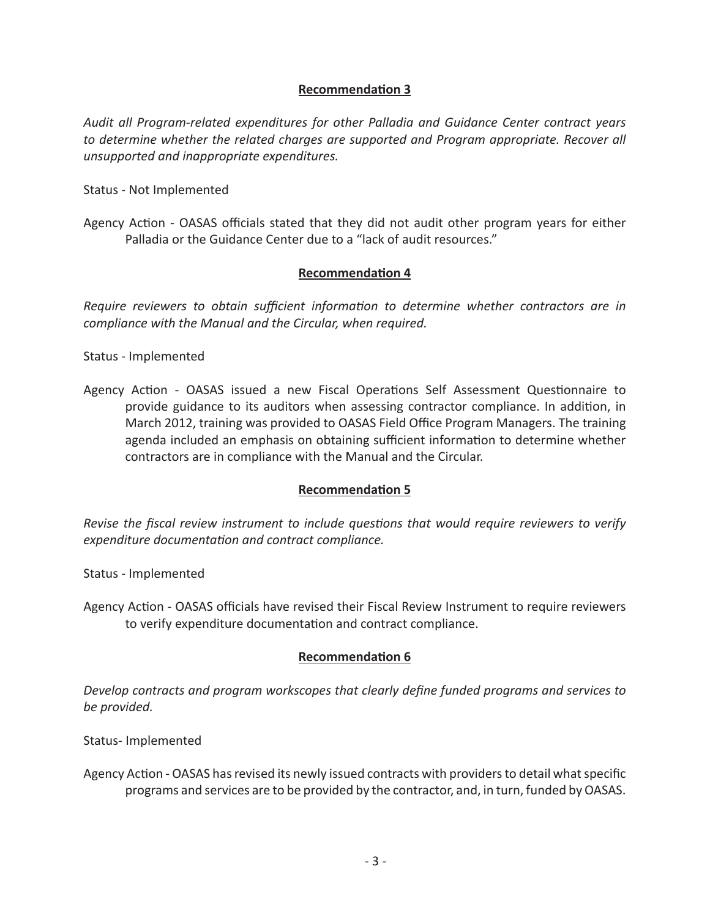# **Recommendation 3**

*Audit all Program-related expenditures for other Palladia and Guidance Center contract years to determine whether the related charges are supported and Program appropriate. Recover all unsupported and inappropriate expenditures.* 

Status - Not Implemented

Agency Action - OASAS officials stated that they did not audit other program years for either Palladia or the Guidance Center due to a "lack of audit resources."

### **Recommendation 4**

*Require reviewers to obtain sufficient information to determine whether contractors are in compliance with the Manual and the Circular, when required.* 

Status - Implemented

Agency Action - OASAS issued a new Fiscal Operations Self Assessment Questionnaire to provide guidance to its auditors when assessing contractor compliance. In addition, in March 2012, training was provided to OASAS Field Office Program Managers. The training agenda included an emphasis on obtaining sufficient information to determine whether contractors are in compliance with the Manual and the Circular.

### **Recommendation 5**

*Revise the fiscal review instrument to include questions that would require reviewers to verify expenditure documentation and contract compliance.* 

Status - Implemented

Agency Action - OASAS officials have revised their Fiscal Review Instrument to require reviewers to verify expenditure documentation and contract compliance.

### **Recommendation 6**

*Develop contracts and program workscopes that clearly define funded programs and services to be provided.* 

Status- Implemented

Agency Action - OASAS has revised its newly issued contracts with providers to detail what specific programs and services are to be provided by the contractor, and, in turn, funded by OASAS.